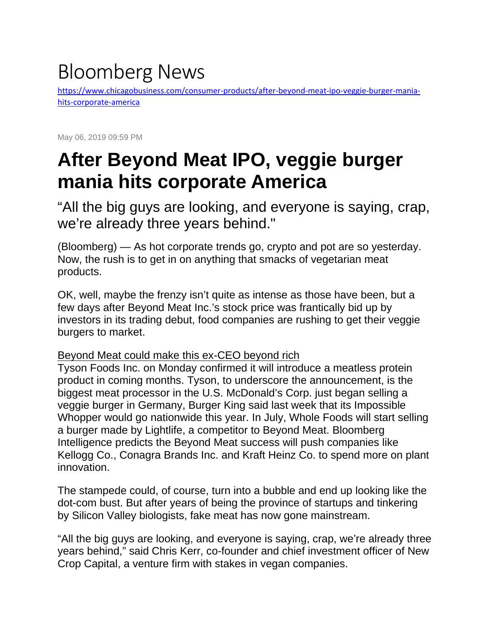## Bloomberg News

[https://www.chicagobusiness.com/consumer-products/after-beyond-meat-ipo-veggie-burger-mania](https://www.chicagobusiness.com/consumer-products/after-beyond-meat-ipo-veggie-burger-mania-hits-corporate-america)[hits-corporate-america](https://www.chicagobusiness.com/consumer-products/after-beyond-meat-ipo-veggie-burger-mania-hits-corporate-america)

May 06, 2019 09:59 PM

## **After Beyond Meat IPO, veggie burger mania hits corporate America**

"All the big guys are looking, and everyone is saying, crap, we're already three years behind."

(Bloomberg) — As hot corporate trends go, crypto and pot are so yesterday. Now, the rush is to get in on anything that smacks of vegetarian meat products.

OK, well, maybe the frenzy isn't quite as intense as those have been, but a few days after Beyond Meat Inc.'s stock price was frantically bid up by investors in its trading debut, food companies are rushing to get their veggie burgers to market.

## [Beyond Meat could make this ex-CEO beyond rich](https://www.chicagobusiness.com/consumer-products/beyond-meat-could-make-ex-ceo-beyond-rich)

Tyson Foods Inc. on Monday confirmed it will introduce a meatless protein product in coming months. Tyson, to underscore the announcement, is the biggest meat processor in the U.S. McDonald's Corp. just began selling a veggie burger in Germany, Burger King said last week that its Impossible Whopper would go nationwide this year. In July, Whole Foods will start selling a burger made by Lightlife, a competitor to Beyond Meat. Bloomberg Intelligence predicts the Beyond Meat success will push companies like Kellogg Co., Conagra Brands Inc. and Kraft Heinz Co. to spend more on plant innovation.

The stampede could, of course, turn into a bubble and end up looking like the dot-com bust. But after years of being the province of startups and tinkering by Silicon Valley biologists, fake meat has now gone mainstream.

"All the big guys are looking, and everyone is saying, crap, we're already three years behind," said Chris Kerr, co-founder and chief investment officer of New Crop Capital, a venture firm with stakes in vegan companies.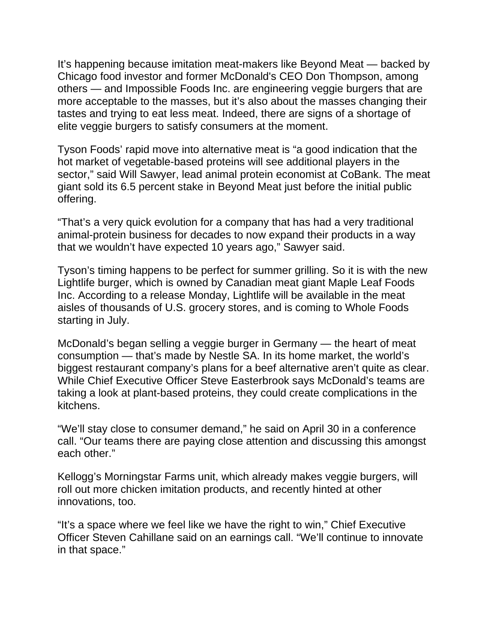It's happening because imitation meat-makers like Beyond Meat — backed by Chicago food investor and former McDonald's CEO Don Thompson, among others — and Impossible Foods Inc. are engineering veggie burgers that are more acceptable to the masses, but it's also about the masses changing their tastes and trying to eat less meat. Indeed, there are signs of a shortage of elite veggie burgers to satisfy consumers at the moment.

Tyson Foods' rapid move into alternative meat is "a good indication that the hot market of vegetable-based proteins will see additional players in the sector," said Will Sawyer, lead animal protein economist at CoBank. The meat giant sold its 6.5 percent stake in Beyond Meat just before the initial public offering.

"That's a very quick evolution for a company that has had a very traditional animal-protein business for decades to now expand their products in a way that we wouldn't have expected 10 years ago," Sawyer said.

Tyson's timing happens to be perfect for summer grilling. So it is with the new Lightlife burger, which is owned by Canadian meat giant Maple Leaf Foods Inc. According to a release Monday, Lightlife will be available in the meat aisles of thousands of U.S. grocery stores, and is coming to Whole Foods starting in July.

McDonald's began selling a veggie burger in Germany — the heart of meat consumption — that's made by Nestle SA. In its home market, the world's biggest restaurant company's plans for a beef alternative aren't quite as clear. While Chief Executive Officer Steve Easterbrook says McDonald's teams are taking a look at plant-based proteins, they could create complications in the kitchens.

"We'll stay close to consumer demand," he said on April 30 in a conference call. "Our teams there are paying close attention and discussing this amongst each other."

Kellogg's Morningstar Farms unit, which already makes veggie burgers, will roll out more chicken imitation products, and recently hinted at other innovations, too.

"It's a space where we feel like we have the right to win," Chief Executive Officer Steven Cahillane said on an earnings call. "We'll continue to innovate in that space."